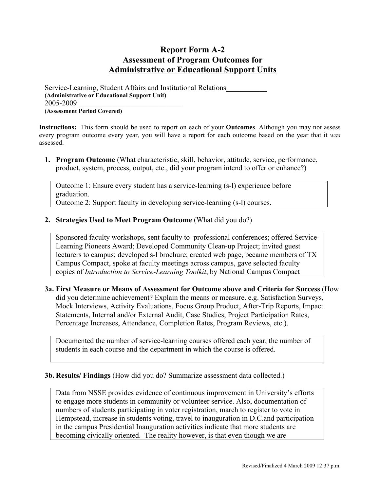## **Report Form A-2 Assessment of Program Outcomes for Administrative or Educational Support Units**

Service-Learning, Student Affairs and Institutional Relations\_\_\_\_\_\_\_\_\_\_\_ **(Administrative or Educational Support Unit)** 2005-2009\_\_\_\_\_\_\_\_\_\_\_\_\_\_\_\_\_\_\_\_\_\_\_\_\_\_\_\_

**(Assessment Period Covered)**

**Instructions:** This form should be used to report on each of your **Outcomes**. Although you may not assess every program outcome every year, you will have a report for each outcome based on the year that it *was* assessed.

**1. Program Outcome** (What characteristic, skill, behavior, attitude, service, performance, product, system, process, output, etc., did your program intend to offer or enhance?)

Outcome 1: Ensure every student has a service-learning (s-l) experience before graduation. Outcome 2: Support faculty in developing service-learning (s-l) courses.

## **2. Strategies Used to Meet Program Outcome** (What did you do?)

Sponsored faculty workshops, sent faculty to professional conferences; offered Service-Learning Pioneers Award; Developed Community Clean-up Project; invited guest lecturers to campus; developed s-l brochure; created web page, became members of TX Campus Compact, spoke at faculty meetings across campus, gave selected faculty copies of *Introduction to Service-Learning Toolkit*, by National Campus Compact

## **3a. First Measure or Means of Assessment for Outcome above and Criteria for Success** (How did you determine achievement? Explain the means or measure. e.g. Satisfaction Surveys, Mock Interviews, Activity Evaluations, Focus Group Product, After-Trip Reports, Impact Statements, Internal and/or External Audit, Case Studies, Project Participation Rates, Percentage Increases, Attendance, Completion Rates, Program Reviews, etc.).

Documented the number of service-learning courses offered each year, the number of students in each course and the department in which the course is offered.

## **3b. Results/ Findings** (How did you do? Summarize assessment data collected.)

Data from NSSE provides evidence of continuous improvement in University's efforts to engage more students in community or volunteer service. Also, documentation of numbers of students participating in voter registration, march to register to vote in Hempstead, increase in students voting, travel to inauguration in D.C.and participation in the campus Presidential Inauguration activities indicate that more students are becoming civically oriented. The reality however, is that even though we are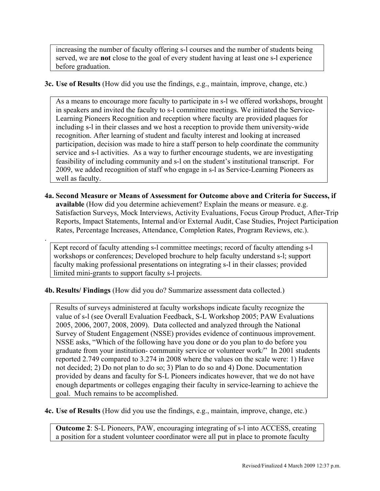increasing the number of faculty offering s-l courses and the number of students being served, we are **not** close to the goal of every student having at least one s-l experience before graduation.

**3c. Use of Results** (How did you use the findings, e.g., maintain, improve, change, etc.)

As a means to encourage more faculty to participate in s-l we offered workshops, brought in speakers and invited the faculty to s-l committee meetings. We initiated the Service-Learning Pioneers Recognition and reception where faculty are provided plaques for including s-l in their classes and we host a reception to provide them university-wide recognition. After learning of student and faculty interest and looking at increased participation, decision was made to hire a staff person to help coordinate the community service and s-l activities. As a way to further encourage students, we are investigating feasibility of including community and s-l on the student's institutional transcript. For 2009, we added recognition of staff who engage in s-l as Service-Learning Pioneers as well as faculty.

**4a. Second Measure or Means of Assessment for Outcome above and Criteria for Success, if available** (How did you determine achievement? Explain the means or measure. e.g. Satisfaction Surveys, Mock Interviews, Activity Evaluations, Focus Group Product, After-Trip Reports, Impact Statements, Internal and/or External Audit, Case Studies, Project Participation Rates, Percentage Increases, Attendance, Completion Rates, Program Reviews, etc.).

Kept record of faculty attending s-l committee meetings; record of faculty attending s-l workshops or conferences; Developed brochure to help faculty understand s-l; support faculty making professional presentations on integrating s-l in their classes; provided limited mini-grants to support faculty s-l projects.

**4b. Results/ Findings** (How did you do? Summarize assessment data collected.)

.

Results of surveys administered at faculty workshops indicate faculty recognize the value of s-l (see Overall Evaluation Feedback, S-L Workshop 2005; PAW Evaluations 2005, 2006, 2007, 2008, 2009). Data collected and analyzed through the National Survey of Student Engagement (NSSE) provides evidence of continuous improvement. NSSE asks, "Which of the following have you done or do you plan to do before you graduate from your institution- community service or volunteer work/" In 2001 students reported 2.749 compared to 3.274 in 2008 where the values on the scale were: 1) Have not decided; 2) Do not plan to do so; 3) Plan to do so and 4) Done. Documentation provided by deans and faculty for S-L Pioneers indicates however, that we do not have enough departments or colleges engaging their faculty in service-learning to achieve the goal. Much remains to be accomplished.

**4c. Use of Results** (How did you use the findings, e.g., maintain, improve, change, etc.)

**Outcome 2**: S-L Pioneers, PAW, encouraging integrating of s-l into ACCESS, creating a position for a student volunteer coordinator were all put in place to promote faculty